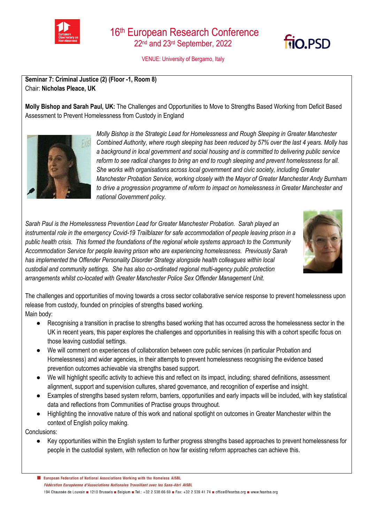

VENUE: University of Bergamo, Italy

**Seminar 7: Criminal Justice (2) (Floor -1, Room 8)**  Chair: **Nicholas Pleace, UK**

**Molly Bishop and Sarah Paul, UK:** The Challenges and Opportunities to Move to Strengths Based Working from Deficit Based Assessment to Prevent Homelessness from Custody in England



*Molly Bishop is the Strategic Lead for Homelessness and Rough Sleeping in Greater Manchester Combined Authority, where rough sleeping has been reduced by 57% over the last 4 years. Molly has a background in local government and social housing and is committed to delivering public service reform to see radical changes to bring an end to rough sleeping and prevent homelessness for all. She works with organisations across local government and civic society, including Greater Manchester Probation Service, working closely with the Mayor of Greater Manchester Andy Burnham to drive a progression programme of reform to impact on homelessness in Greater Manchester and national Government policy.* 

*Sarah Paul is the Homelessness Prevention Lead for Greater Manchester Probation. Sarah played an*  instrumental role in the emergency Covid-19 Trailblazer for safe accommodation of people leaving prison in a *public health crisis. This formed the foundations of the regional whole systems approach to the Community Accommodation Service for people leaving prison who are experiencing homelessness. Previously Sarah has implemented the Offender Personality Disorder Strategy alongside health colleagues within local custodial and community settings. She has also co-ordinated regional multi-agency public protection arrangements whilst co-located with Greater Manchester Police Sex Offender Management Unit.*



**fio PSD** 

The challenges and opportunities of moving towards a cross sector collaborative service response to prevent homelessness upon release from custody, founded on principles of strengths based working. Main body:

- Recognising a transition in practise to strengths based working that has occurred across the homelessness sector in the UK in recent years, this paper explores the challenges and opportunities in realising this with a cohort specific focus on those leaving custodial settings.
- We will comment on experiences of collaboration between core public services (in particular Probation and Homelessness) and wider agencies, in their attempts to prevent homelessness recognising the evidence based prevention outcomes achievable via strengths based support.
- We will highlight specific activity to achieve this and reflect on its impact, including; shared definitions, assessment alignment, support and supervision cultures, shared governance, and recognition of expertise and insight.
- Examples of strengths based system reform, barriers, opportunities and early impacts will be included, with key statistical data and reflections from Communities of Practise groups throughout.
- Highlighting the innovative nature of this work and national spotlight on outcomes in Greater Manchester within the context of English policy making.

Conclusions:

Key opportunities within the English system to further progress strengths based approaches to prevent homelessness for people in the custodial system, with reflection on how far existing reform approaches can achieve this.

European Federation of National Associations Working with the Homeless AISBL Fédération Européenne d'Associations Nationales Travaillant avec les Sans-Abri AISBL 194 Chaussée de Louvain 1210 Brussels Belgium B Tel.: +32 2 538 66 69 B Fax: +32 2 539 41 74 B office@feantsa.org B www.feantsa.org